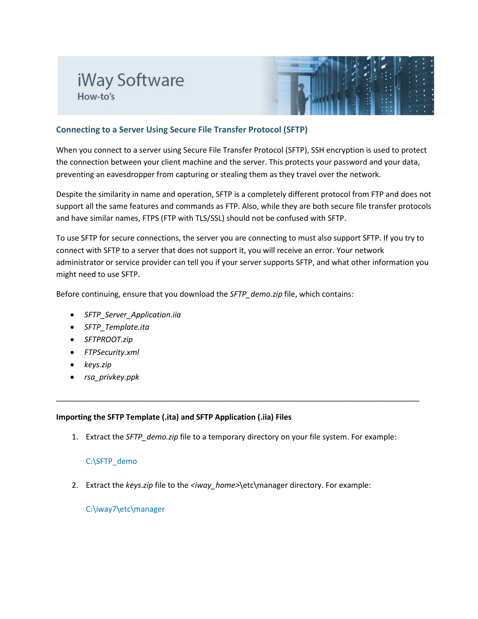# iWay Software How-to's



# **Connecting to a Server Using Secure File Transfer Protocol (SFTP)**

When you connect to a server using Secure File Transfer Protocol (SFTP), SSH encryption is used to protect the connection between your client machine and the server. This protects your password and your data, preventing an eavesdropper from capturing or stealing them as they travel over the network.

Despite the similarity in name and operation, SFTP is a completely different protocol from FTP and does not support all the same features and commands as FTP. Also, while they are both secure file transfer protocols and have similar names, FTPS (FTP with TLS/SSL) should not be confused with SFTP.

To use SFTP for secure connections, the server you are connecting to must also support SFTP. If you try to connect with SFTP to a server that does not support it, you will receive an error. Your network administrator or service provider can tell you if your server supports SFTP, and what other information you might need to use SFTP.

Before continuing, ensure that you download the *SFTP\_demo.zip* file, which contains:

- *SFTP\_Server\_Application.iia*
- *SFTP\_Template.ita*
- *SFTPROOT.zip*
- *FTPSecurity.xml*
- *keys.zip*
- *rsa\_privkey.ppk*

# **Importing the SFTP Template (.ita) and SFTP Application (.iia) Files**

1. Extract the *SFTP\_demo.zip* file to a temporary directory on your file system. For example:

\_\_\_\_\_\_\_\_\_\_\_\_\_\_\_\_\_\_\_\_\_\_\_\_\_\_\_\_\_\_\_\_\_\_\_\_\_\_\_\_\_\_\_\_\_\_\_\_\_\_\_\_\_\_\_\_\_\_\_\_\_\_\_\_\_\_\_\_\_\_\_\_\_\_\_\_\_\_\_\_\_\_\_\_\_

# C:\SFTP\_demo

2. Extract the *keys.zip* file to the *<iway\_home>*\etc\manager directory. For example:

C:\iway7\etc\manager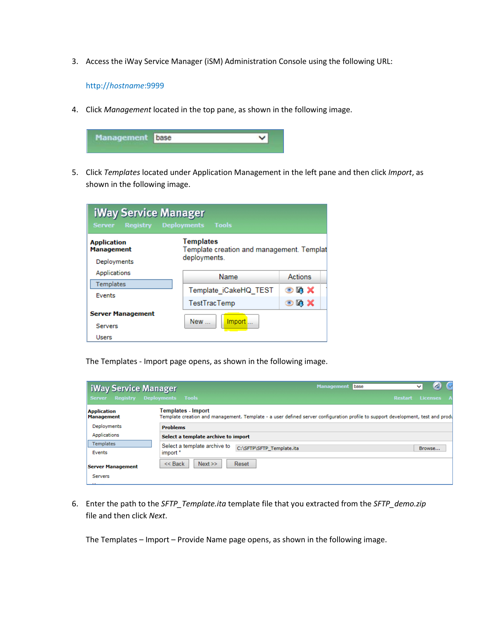3. Access the iWay Service Manager (iSM) Administration Console using the following URL:

http://*hostname*:9999

4. Click *Management* located in the top pane, as shown in the following image.



5. Click *Templates* located under Application Management in the left pane and then click *Import*, as shown in the following image.

| iWay Service Manager<br><b>Registry Deployments Tools</b><br><b>Server</b> |                                                                               |                              |  |  |
|----------------------------------------------------------------------------|-------------------------------------------------------------------------------|------------------------------|--|--|
| <b>Application</b><br><b>Management</b><br>Deployments                     | <b>Templates</b><br>Template creation and management. Templat<br>deployments. |                              |  |  |
| Applications                                                               | Name                                                                          | Actions                      |  |  |
| Templates<br>Events                                                        | Template iCakeHQ TEST                                                         | $\odot$ is $\bm{\mathsf{x}}$ |  |  |
|                                                                            | <b>TestTracTemp</b>                                                           | $\odot$ G X                  |  |  |
| <b>Server Management</b>                                                   |                                                                               |                              |  |  |
| <b>Servers</b>                                                             | New<br><b>Import</b>                                                          |                              |  |  |
| <b>Users</b>                                                               |                                                                               |                              |  |  |

The Templates - Import page opens, as shown in the following image.

| iWay Service Manager<br><b>Server</b>   | <b>Management</b><br>base<br>₫<br>◡<br><b>Registry Deployments Tools</b><br><b>Licenses</b><br><b>Restart</b>                                                |
|-----------------------------------------|--------------------------------------------------------------------------------------------------------------------------------------------------------------|
| <b>Application</b><br><b>Management</b> | <b>Templates - Import</b><br>Template creation and management. Template - a user defined server configuration profile to support development, test and produ |
| Deployments                             | <b>Problems</b>                                                                                                                                              |
| Applications                            | Select a template archive to import                                                                                                                          |
| <b>Templates</b>                        | Select a template archive to<br>C:\SFTP\SFTP_Template.ita<br>Browse                                                                                          |
| Events                                  | import *                                                                                                                                                     |
| <b>Server Management</b><br>Servers     | Next<br>$<<$ Back<br>Reset                                                                                                                                   |

6. Enter the path to the *SFTP\_Template.ita* template file that you extracted from the *SFTP\_demo.zip* file and then click *Next*.

The Templates – Import – Provide Name page opens, as shown in the following image.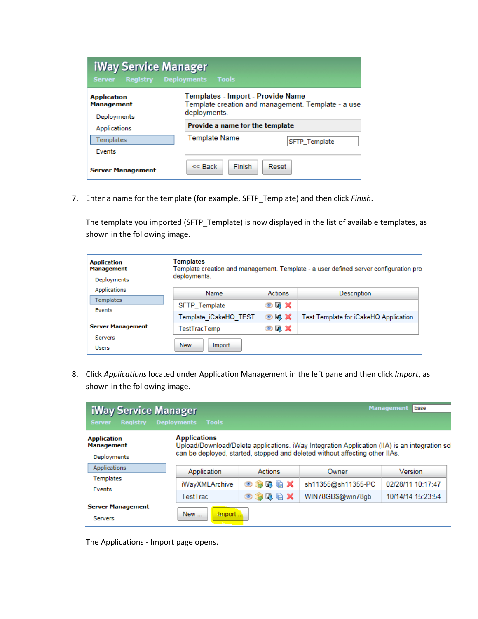| iWay Service Manager<br><b>Registry</b><br><b>Server</b> | Deployments Tools                                 |                                                    |
|----------------------------------------------------------|---------------------------------------------------|----------------------------------------------------|
| <b>Application</b><br><b>Management</b><br>Deployments   | Templates - Import - Provide Name<br>deployments. | Template creation and management. Template - a use |
| Applications                                             | Provide a name for the template                   |                                                    |
| Templates                                                | Template Name                                     | <b>SFTP</b> Template                               |
| <b>Events</b>                                            |                                                   |                                                    |
| <b>Server Management</b>                                 | $<<$ Back<br><b>Finish</b>                        | Reset                                              |

7. Enter a name for the template (for example, SFTP\_Template) and then click *Finish*.

The template you imported (SFTP\_Template) is now displayed in the list of available templates, as shown in the following image.

| <b>Application</b><br><b>Management</b><br>Deployments | <b>Templates</b><br>Template creation and management. Template - a user defined server configuration pro<br>deployments. |                                |                                       |
|--------------------------------------------------------|--------------------------------------------------------------------------------------------------------------------------|--------------------------------|---------------------------------------|
| Applications                                           | Name                                                                                                                     | <b>Actions</b>                 | <b>Description</b>                    |
| <b>Templates</b><br>Events                             | <b>SFTP</b> Template                                                                                                     | $\odot$ is $\times$            |                                       |
|                                                        | Template iCakeHQ TEST                                                                                                    | $\odot$ iii) $\bm{\mathsf{X}}$ | Test Template for iCakeHQ Application |
| <b>Server Management</b>                               | <b>TestTracTemp</b>                                                                                                      | $\odot$ h $\times$             |                                       |
| <b>Servers</b><br><b>Users</b>                         | New<br>Import                                                                                                            |                                |                                       |

8. Click *Applications* located under Application Management in the left pane and then click *Import*, as shown in the following image.

| <b>iWay Service Manager</b><br><b>Registry</b><br><b>Server</b> | <b>Tools</b><br><b>Deployments</b> |                               |                                                                                                                                                                             | <b>Management</b><br>l base |
|-----------------------------------------------------------------|------------------------------------|-------------------------------|-----------------------------------------------------------------------------------------------------------------------------------------------------------------------------|-----------------------------|
| <b>Application</b><br><b>Management</b><br>Deployments          | <b>Applications</b>                |                               | Upload/Download/Delete applications. iWay Integration Application (IIA) is an integration so<br>can be deployed, started, stopped and deleted without affecting other IIAs. |                             |
| Applications                                                    | Application                        | Actions                       | Owner                                                                                                                                                                       | Version                     |
| <b>Templates</b>                                                | iWayXMLArchive                     | <b>时临义</b><br>$\bigcirc$<br>G | sh11355@sh11355-PC                                                                                                                                                          | 02/28/11 10:17:47           |
| Events                                                          | TestTrac                           | $\bullet$ + + $\bullet$       | WIN78GB\$@win78gb                                                                                                                                                           | 10/14/14 15:23:54           |
| <b>Server Management</b><br><b>Servers</b>                      | <b>New</b><br>-Import.             |                               |                                                                                                                                                                             |                             |

The Applications - Import page opens.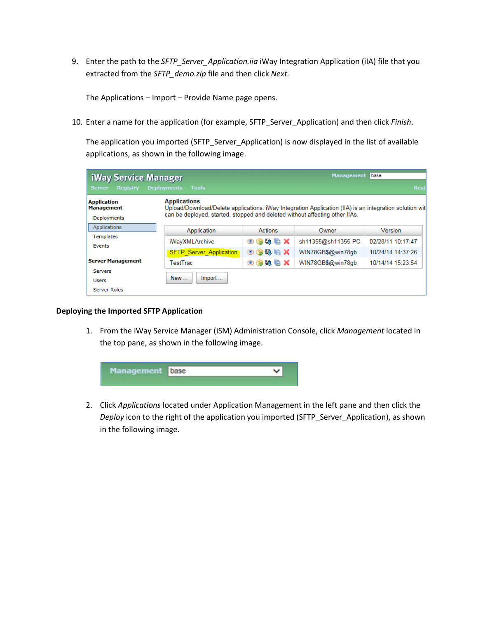9. Enter the path to the *SFTP\_Server\_Application.iia* iWay Integration Application (iIA) file that you extracted from the *SFTP\_demo.zip* file and then click *Next.*

The Applications – Import – Provide Name page opens.

10. Enter a name for the application (for example, SFTP\_Server\_Application) and then click *Finish*.

The application you imported (SFTP\_Server\_Application) is now displayed in the list of available applications, as shown in the following image.

| <b>iWay Service Manager</b><br><b>Registry</b><br><b>Server</b> | <b>Tools</b><br><b>Deployments</b>                                                                                                                                                                           |                                                             | <b>Management</b>                      | base<br><b>Rest</b>                    |
|-----------------------------------------------------------------|--------------------------------------------------------------------------------------------------------------------------------------------------------------------------------------------------------------|-------------------------------------------------------------|----------------------------------------|----------------------------------------|
| <b>Application</b><br><b>Management</b><br>Deployments          | <b>Applications</b><br>Upload/Download/Delete applications. iWay Integration Application (IIA) is an integration solution wit<br>can be deployed, started, stopped and deleted without affecting other IIAs. |                                                             |                                        |                                        |
| Applications                                                    | Application                                                                                                                                                                                                  | Actions                                                     | Owner                                  | <b>Version</b>                         |
| <b>Templates</b><br>Events                                      | iWayXMLArchive                                                                                                                                                                                               | $\odot$ \$ 5 $\odot$ X                                      | sh11355@sh11355-PC                     | 02/28/11 10:17:47<br>10/24/14 14:37:26 |
| <b>Server Management</b>                                        | <b>SFTP Server Application</b><br>TestTrac                                                                                                                                                                   | $\odot$ ( ) iii ii ii $\times$<br>$\odot$ ( ) iii ii ii $X$ | WIN78GB\$@win78gb<br>WIN78GB\$@win78gb | 10/14/14 15:23:54                      |
| <b>Servers</b><br><b>Users</b><br>Server Roles                  | New<br>Import                                                                                                                                                                                                |                                                             |                                        |                                        |

#### **Deploying the Imported SFTP Application**

1. From the iWay Service Manager (iSM) Administration Console, click *Management* located in the top pane, as shown in the following image.



2. Click *Applications* located under Application Management in the left pane and then click the *Deploy* icon to the right of the application you imported (SFTP\_Server\_Application), as shown in the following image.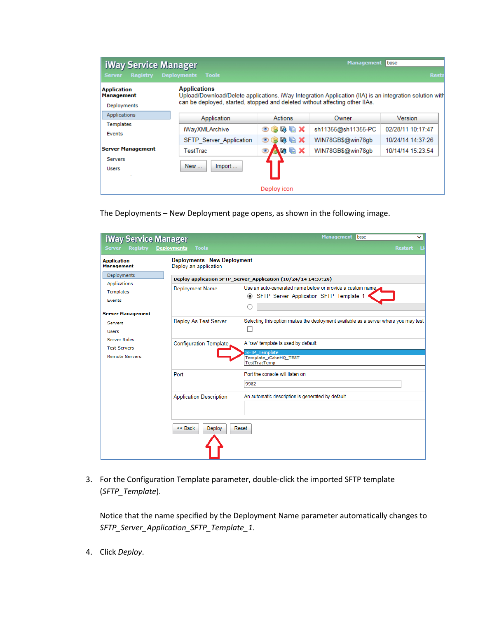| <b>iWay Service Manager</b><br><b>Server</b><br><b>Registry</b> | <b>Deployments</b><br><b>Tools</b>                                                                                                                                                                            |                  | <b>Management</b>  | base<br><b>Resta</b> |
|-----------------------------------------------------------------|---------------------------------------------------------------------------------------------------------------------------------------------------------------------------------------------------------------|------------------|--------------------|----------------------|
| <b>Application</b><br><b>Management</b><br>Deployments          | <b>Applications</b><br>Upload/Download/Delete applications. iWay Integration Application (IIA) is an integration solution with<br>can be deployed, started, stopped and deleted without affecting other IIAs. |                  |                    |                      |
| Applications                                                    | Application                                                                                                                                                                                                   | <b>Actions</b>   | Owner              | <b>Version</b>       |
| Templates<br>Events                                             | iWayXMLArchive                                                                                                                                                                                                | 50 Q X<br>◉<br>B | sh11355@sh11355-PC | 02/28/11 10:17:47    |
|                                                                 | SFTP Server Application                                                                                                                                                                                       | 50 Q X<br>O      | WIN78GB\$@win78gb  | 10/24/14 14:37:26    |
| <b>Server Management</b>                                        | TestTrac                                                                                                                                                                                                      | 人印唱义<br>O        | WIN78GB\$@win78gb  | 10/14/14 15:23:54    |
| <b>Servers</b><br><b>Users</b>                                  | New<br>Import                                                                                                                                                                                                 |                  |                    |                      |
|                                                                 |                                                                                                                                                                                                               | Deploy icon      |                    |                      |

The Deployments – New Deployment page opens, as shown in the following image.

| <b>iWay Service Manager</b>                       |                                                              | <b>Management</b><br>base<br>◡                                                                                         |
|---------------------------------------------------|--------------------------------------------------------------|------------------------------------------------------------------------------------------------------------------------|
| <b>Server</b><br><b>Registry</b>                  | <b>Tools</b><br><b>Deployments</b>                           | <b>Restart</b><br>-Li                                                                                                  |
| <b>Application</b><br><b>Management</b>           | <b>Deployments - New Deployment</b><br>Deploy an application |                                                                                                                        |
| Deployments                                       |                                                              | Deploy application SFTP_Server_Application (10/24/14 14:37:26)                                                         |
| <b>Applications</b><br>Templates<br><b>Events</b> | Deployment Name                                              | Use an auto-generated name below or provide a custom name<br>SFTP_Server_Application_SFTP_Template_1<br>$\circledcirc$ |
| <b>Server Management</b>                          |                                                              |                                                                                                                        |
| Servers<br><b>Users</b>                           | Deploy As Test Server                                        | Selecting this option makes the deployment available as a server where you may test                                    |
| <b>Server Roles</b><br><b>Test Servers</b>        | Configuration Template                                       | A 'raw' template is used by default.<br><b>SFTP Template</b>                                                           |
| <b>Remote Servers</b>                             |                                                              | Template iCakeHQ TEST<br><b>TestTracTemp</b>                                                                           |
|                                                   | Port                                                         | Port the console will listen on<br>9982                                                                                |
|                                                   | <b>Application Description</b>                               | An automatic description is generated by default.                                                                      |
|                                                   | $<<$ Back<br>Deploy                                          | Reset                                                                                                                  |

3. For the Configuration Template parameter, double-click the imported SFTP template (*SFTP\_Template*).

Notice that the name specified by the Deployment Name parameter automatically changes to *SFTP\_Server\_Application\_SFTP\_Template\_1*.

4. Click *Deploy*.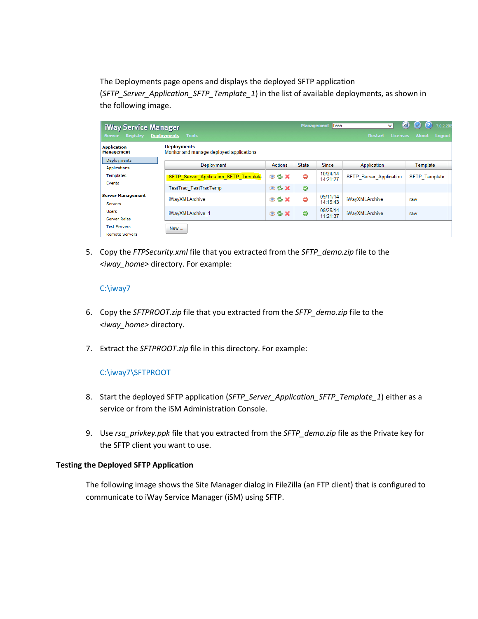The Deployments page opens and displays the deployed SFTP application (*SFTP\_Server\_Application\_SFTP\_Template\_1*) in the list of available deployments, as shown in the following image.

| <b>iWay Service Manager</b><br><b>Registry</b><br><b>Server</b> | <b>Deployments</b><br><b>Tools</b>                             |                          | <b>Management</b> | base                 | $\checkmark$<br><b>Licenses</b><br><b>Restart</b> | ◙<br>(?)<br>7.0.2.208<br>$\omega$<br><b>About</b><br><b>Logout</b> |
|-----------------------------------------------------------------|----------------------------------------------------------------|--------------------------|-------------------|----------------------|---------------------------------------------------|--------------------------------------------------------------------|
| <b>Application</b><br><b>Management</b>                         | <b>Deployments</b><br>Monitor and manage deployed applications |                          |                   |                      |                                                   |                                                                    |
| Deployments<br>Applications                                     | Deployment                                                     | Actions                  | <b>State</b>      | <b>Since</b>         | Application                                       | Template                                                           |
| <b>Templates</b><br>Events                                      | SFTP Server Application SFTP Template                          | $\circ$ $\circ$ $\times$ | ⊜                 | 10/24/14<br>14:21:27 | <b>SFTP Server Application</b>                    | <b>SFTP</b> Template                                               |
|                                                                 | TestTrac TestTracTemp                                          | $\circ$ $\circ$ $\times$ | $\bullet$         |                      |                                                   |                                                                    |
| <b>Server Management</b><br>Servers                             | iWayXMLArchive                                                 | $\circ$ $\circ$ $\times$ | ⊜                 | 09/11/14<br>14:15:43 | iWayXMLArchive                                    | raw                                                                |
| <b>Users</b><br>Server Roles                                    | iWayXMLArchive 1                                               | $\odot$ % $\times$       | $\bullet$         | 09/25/14<br>11:21:37 | iWayXMLArchive                                    | raw                                                                |
| <b>Test Servers</b><br><b>Remote Servers</b>                    | <b>New</b>                                                     |                          |                   |                      |                                                   |                                                                    |

5. Copy the *FTPSecurity.xml* file that you extracted from the *SFTP\_demo.zip* file to the *<iway\_home>* directory. For example:

## C:\iway7

- 6. Copy the *SFTPROOT.zip* file that you extracted from the *SFTP\_demo.zip* file to the *<iway\_home>* directory.
- 7. Extract the *SFTPROOT.zip* file in this directory. For example:

# C:\iway7\SFTPROOT

- 8. Start the deployed SFTP application (*SFTP\_Server\_Application\_SFTP\_Template\_1*) either as a service or from the iSM Administration Console.
- 9. Use *rsa\_privkey.ppk* file that you extracted from the *SFTP\_demo.zip* file as the Private key for the SFTP client you want to use.

### **Testing the Deployed SFTP Application**

The following image shows the Site Manager dialog in FileZilla (an FTP client) that is configured to communicate to iWay Service Manager (iSM) using SFTP.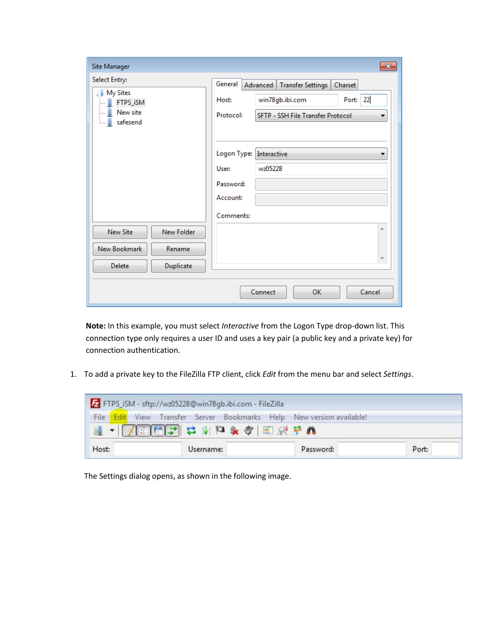| Site Manager                                                  | $\mathbf{x}$                                                                                                                                              |
|---------------------------------------------------------------|-----------------------------------------------------------------------------------------------------------------------------------------------------------|
| Select Entry:<br>My Sites<br>FTPS_iSM<br>New site<br>safesend | General<br>Advanced<br><b>Transfer Settings</b><br>Charset<br>Port: 22<br>win78gb.ibi.com<br>Host:<br>Protocol:<br>SFTP - SSH File Transfer Protocol<br>▼ |
|                                                               | Logon Type: Interactive<br>wz05228<br>User:<br>Password:<br>Account:<br>Comments:                                                                         |
| New Folder<br><b>New Site</b><br>New Bookmark<br>Rename       | À.<br>$\overline{\nabla}$                                                                                                                                 |
| <b>Delete</b><br>Duplicate                                    | OK<br>Cancel<br>Connect<br>Ш                                                                                                                              |

**Note:** In this example, you must select *Interactive* from the Logon Type drop-down list. This connection type only requires a user ID and uses a key pair (a public key and a private key) for connection authentication.

1. To add a private key to the FileZilla FTP client, click *Edit* from the menu bar and select *Settings*.



The Settings dialog opens, as shown in the following image.